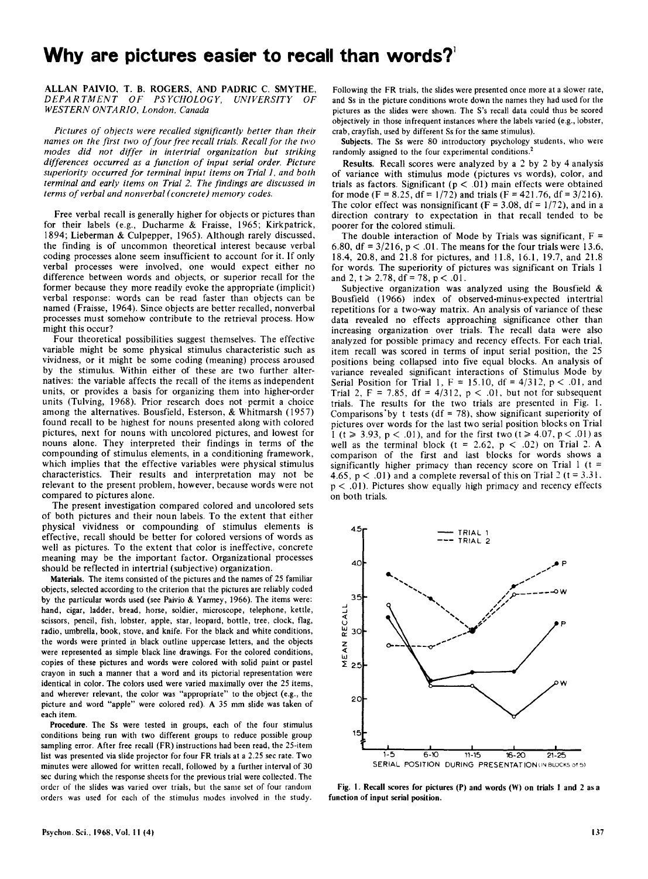## **Why are pictures easier to recall than words?!**

## ALLAN PAIVIO, T. B. ROGERS, AND PADRIC C. SMYTHE, DEPARTMENT OF PSYCHOLOGY. UNIVERSITY OF *DEPARTMENT OF PSYCHOLOGY, UNIVERSITY OF WESTERN ONTARIO, London, Canada*

*Pictures of objects were recalled significantly better than their names on the first two of four free recall trials. Recall for the two modes did not differ in intertrial organization but striking differences occurred as a function of input serial order. Picture*  superiority occurred for terminal input items on Trial 1, and both *terminal and early items on Trial* 2. *The findings are discussed in terms of verbal and nonverbal (concrete) memory codes.* 

Free verbal recall is generally higher for objects or pictures than for their labels (e.g., Ducharme & Fraisse, 1965; Kirkpatrick, 1894; Lieberman & Culpepper, 1965). Although rarely discussed, the finding is of uncommon theoretical interest because verbal coding processes alone seem insufficient to account for it. If only verbal processes were involved, one would expect either no difference between words and objects, or superior recall for the former because they more readily evoke the appropriate (implicit) verbal response: words can be read faster than objects can be named (Fraisse, 1964). Since objects are better recalled, nonverbal processes must somehow contribute to the retrieval process. How might this occur?

Four theoretical possibilities suggest themselves. The effective variable might be some physical stimulus characteristic such as vividness, or it might be some coding (meaning) process aroused by the stimulus. Within either of these are two further alternatives: the variable affects the recall of the items as independent units, or provides a basis for organizing them into higher-order units (Tulving, 1968). Prior research does not permit a choice among the alternatives. Bousfield, Esterson, & Whitmarsh (1957) found recall to be highest for nouns presented along with colored pictures, next for nouns with uncolored pictures, and lowest for nouns alone. They interpreted their findings in terms of the compounding of stimulus elements, in a conditioning framework, which implies that the effective variables were physical stimulus characteristics. Their results and interpretation may not be relevant to the present problem, however, because words were not compared to pictures alone.

The present investigation compared colored and uncolored sets of both pictures and their noun labels. To the extent that either physical vividness or compounding of stimulus elements is effective, recall should be better for colored versions of words as well as pictures. To the extent that color is ineffective, concrete meaning may be the important factor. Organizational processes should be reflected in intertrial (subjective) organization.

Materials. The items consisted of the pictures and the names of 25 familiar objects, selected according to the criterion that the pictures are reliably coded by the particular words used (see Paivio & Yarmey, 1966). The items were: hand, cigar, ladder, bread, horse, soldier, microscope, telephone, kettle, scissors, pencil, fish, lobster, apple, star, leopard, bottle, tree, clock, flag, radio, umbrella, book, stove, and knife. For the black and white conditions, the words were printed in black outline uppercase letters, and the objects were represented as simple black line drawings. For the colored conditions, copies of these pictures and words were colored with solid paint or pastel crayon in such a manner that a word and its pictorial representation were identical in color. The colors used were varied maximally over the 25 items, and wherever relevant, the color was "appropriate" to the object (e.g., the picture and word "apple" were colored red). A 35 mm slide was taken of each item.

Procedure. The Ss were tested in groups, each of the four stimulus conditions being run with two different groups to reduce possible group sampling error. After free recall (FR) instructions had been read, the 25-item list was presented via slide projector for four FR trials at a 2.25 sec rate. Two minutes were allowed for written recall, followed by a further interval of 30 sec during which the response sheets for the previous trial were collected. The order of the slides was varied over trials, but the same set of four random orders was used for each of the stimulus modes involved in the study.

Following the FR trials, the slides were presented once more at a slower rate, and Ss in the picture conditions wrote down the names they had used for the pictures as the slides were shown. The S's recall data could thus be scored objectively in those infrequent instances where the labels varied (e.g., lobster, crab, crayfish, used by different Ss for the same stimulus).

Subjects. The Ss were 80 introductory psychology students, who were randomly assigned to the four experimental conditions.<sup>2</sup>

Results. Recall scores were analyzed by a 2 by 2 by 4 analysis of variance with stimulus mode (pictures vs words), color, and trials as factors. Significant ( $p < .01$ ) main effects were obtained for mode (F = 8.25, df =  $1/72$ ) and trials (F = 421.76, df = 3/216). The color effect was nonsignificant ( $F = 3.08$ , df = 1/72), and in a direction contrary to expectation in that recall tended to be poorer for the colored stimuli.

The double interaction of Mode by Trials was significant,  $F =$ 6.80, df =  $3/216$ , p < .01. The means for the four trials were 13.6, 18.4,20.8, and 21.8 for pictures, and 11.8, 16.1, 19.7, and 21.8 for words. The superiority of pictures was significant on Trials I and 2,  $t \ge 2.78$ , df = 78, p < .01.

Subjective organization was analyzed using the Bousfield & Bousfield (I966} index of observed-minus-expected intertrial repetitions for a two-way matrix. An analysis of variance of these data revealed no effects approaching significance other than increasing organization over trials. The recall data were also analyzed for possible primacy and recency effects. For each trial, item recall was scored in terms of input serial position, the 25 positions being collapsed into five equal blocks. An analysis of variance revealed significant interactions of Stimulus Mode by Serial Position for Trial 1,  $F = 15.10$ , df = 4/312, p < .01, and Trial 2,  $F = 7.85$ ,  $df = 4/312$ ,  $p < .01$ , but not for subsequent trials. The results for the two trials are presented in Fig. I. Comparisons by t tests (df = 78), show significant superiority of pictures over words for the last two serial position blocks on Trial I ( $t \ge 3.93$ ,  $p < .01$ ), and for the first two ( $t \ge 4.07$ ,  $p < .01$ ) as well as the terminal block (t = 2.62,  $p < .02$ ) on Trial 2. A comparison of the first and last blocks for words shows a significantly higher primacy than recency score on Trial  $1 (t =$ 4.65,  $p < .01$ ) and a complete reversal of this on Trial 2 ( $t = 3.31$ .  $p < .01$ ). Pictures show equally high primacy and recency effects on both trials.



Fig. I. Recall scores for pictures (P) and words (W) on trials I and 2 as a function of input serial position.